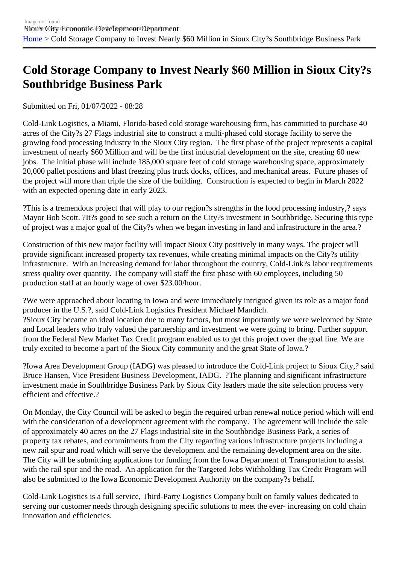## [Cold](https://locatesiouxcity.com/) Storage Company to Invest Nearly \$60 Million in Sioux City?s Southbridge Business Park

Submitted on Fri, 01/07/2022 - 08:28

Cold-Link Logistics, a Miami, Florida-based cold storage warehousing firm, has committed to purchase 40 acres of the City?s 27 Flags industrial site to construct a multi-phased cold storage facility to serve the growing food processing industry in the Sioux City region. The first phase of the project represents a capital investment of nearly \$60 Million and will be the first industrial development on the site, creating 60 new jobs. The initial phase will include 185,000 square feet of cold storage warehousing space, approximately 20,000 pallet positions and blast freezing plus truck docks, offices, and mechanical areas. Future phases of the project will more than triple the size of the building. Construction is expected to begin in March 2022 with an expected opening date in early 2023.

?This is a tremendous project that will play to our region?s strengths in the food processing industry,? says Mayor Bob Scott. ?It?s good to see such a return on the City?s investment in Southbridge. Securing this type of project was a major goal of the City?s when we began investing in land and infrastructure in the area.?

Construction of this new major facility will impact Sioux City positively in many ways. The project will provide significant increased property tax revenues, while creating minimal impacts on the City?s utility infrastructure. With an increasing demand for labor throughout the country, Cold-Link?s labor requirements stress quality over quantity. The company will staff the first phase with 60 employees, including 50 production staff at an hourly wage of over \$23.00/hour.

?We were approached about locating in Iowa and were immediately intrigued given its role as a major food producer in the U.S.?, said Cold-Link Logistics President Michael Mandich. ?Sioux City became an ideal location due to many factors, but most importantly we were welcotated by and Local leaders who truly valued the partnership and investment we were going to bring. Further support from the Federal New Market Tax Credit program enabled us to get this project over the goal line. We are truly excited to become a part of the Sioux City community and the great State of Iowa.?

?Iowa Area Development Group (IADG) was pleased to introduce the Cold-Link project to Sioux City,? said Bruce Hansen, Vice President Business Development, IADG. ?The planning and significant infrastructure investment made in Southbridge Business Park by Sioux City leaders made the site selection process very efficient and effective.?

On Monday, the City Council will be asked to begin the required urban renewal notice period which will end with the consideration of a development agreement with the company. The agreement will include the sale of approximately 40 acres on the 27 Flags industrial site in the Southbridge Business Park, a series of property tax rebates, and commitments from the City regarding various infrastructure projects including a new rail spur and road which will serve the development and the remaining development area on the site. The City will be submitting applications for funding from the Iowa Department of Transportation to assist with the rail spur and the road. An application for the Targeted Jobs Withholding Tax Credit Program will also be submitted to the Iowa Economic Development Authority on the company?s behalf.

Cold-Link Logistics is a full service, Third-Party Logistics Company built on family values dedicated to serving our customer needs through designing specific solutions to meet the ever- increasing on cold chain innovation and efficiencies.